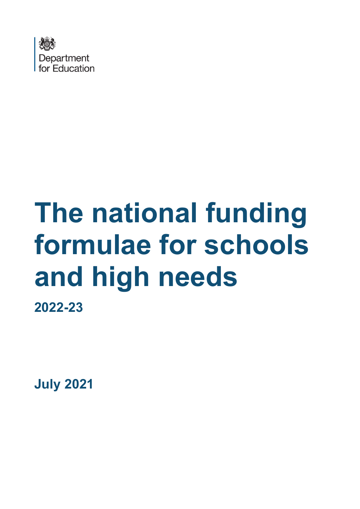

# **The national funding formulae for schools and high needs 2022-23**

**July 2021**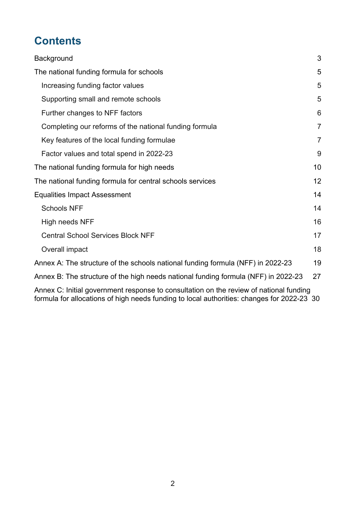# **Contents**

| Background                                                                         | 3              |
|------------------------------------------------------------------------------------|----------------|
| The national funding formula for schools                                           | 5              |
| Increasing funding factor values                                                   | 5              |
| Supporting small and remote schools                                                | 5              |
| Further changes to NFF factors                                                     | 6              |
| Completing our reforms of the national funding formula                             | $\overline{7}$ |
| Key features of the local funding formulae                                         | $\overline{7}$ |
| Factor values and total spend in 2022-23                                           | 9              |
| The national funding formula for high needs                                        | 10             |
| The national funding formula for central schools services                          | 12             |
| <b>Equalities Impact Assessment</b>                                                | 14             |
| <b>Schools NFF</b>                                                                 | 14             |
| High needs NFF                                                                     | 16             |
| <b>Central School Services Block NFF</b>                                           | 17             |
| Overall impact                                                                     | 18             |
| Annex A: The structure of the schools national funding formula (NFF) in 2022-23    | 19             |
| Annex B: The structure of the high needs national funding formula (NFF) in 2022-23 | 27             |
|                                                                                    |                |

[Annex C: Initial government response to consultation on the review of national funding](#page-29-0)  [formula for allocations of high needs funding to local authorities: changes for 2022-23 30](#page-29-0)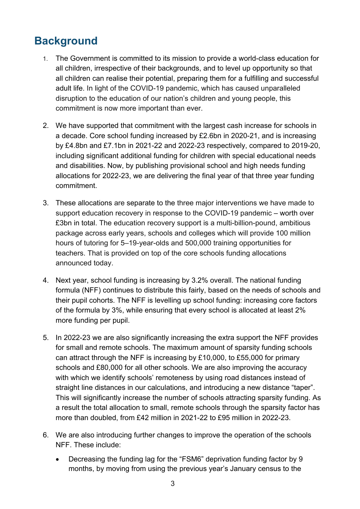# <span id="page-2-0"></span>**Background**

- 1. The Government is committed to its mission to provide a world-class education for all children, irrespective of their backgrounds, and to level up opportunity so that all children can realise their potential, preparing them for a fulfilling and successful adult life. In light of the COVID-19 pandemic, which has caused unparalleled disruption to the education of our nation's children and young people, this commitment is now more important than ever.
- 2. We have supported that commitment with the largest cash increase for schools in a decade. Core school funding increased by £2.6bn in 2020-21, and is increasing by £4.8bn and £7.1bn in 2021-22 and 2022-23 respectively, compared to 2019-20, including significant additional funding for children with special educational needs and disabilities. Now, by publishing provisional school and high needs funding allocations for 2022-23, we are delivering the final year of that three year funding commitment.
- 3. These allocations are separate to the three major interventions we have made to support education recovery in response to the COVID-19 pandemic – worth over £3bn in total. The education recovery support is a multi-billion-pound, ambitious package across early years, schools and colleges which will provide 100 million hours of tutoring for 5–19-year-olds and 500,000 training opportunities for teachers. That is provided on top of the core schools funding allocations announced today.
- 4. Next year, school funding is increasing by 3.2% overall. The national funding formula (NFF) continues to distribute this fairly, based on the needs of schools and their pupil cohorts. The NFF is levelling up school funding: increasing core factors of the formula by 3%, while ensuring that every school is allocated at least 2% more funding per pupil.
- 5. In 2022-23 we are also significantly increasing the extra support the NFF provides for small and remote schools. The maximum amount of sparsity funding schools can attract through the NFF is increasing by £10,000, to £55,000 for primary schools and £80,000 for all other schools. We are also improving the accuracy with which we identify schools' remoteness by using road distances instead of straight line distances in our calculations, and introducing a new distance "taper". This will significantly increase the number of schools attracting sparsity funding. As a result the total allocation to small, remote schools through the sparsity factor has more than doubled, from £42 million in 2021-22 to £95 million in 2022-23.
- 6. We are also introducing further changes to improve the operation of the schools NFF. These include:
	- Decreasing the funding lag for the "FSM6" deprivation funding factor by 9 months, by moving from using the previous year's January census to the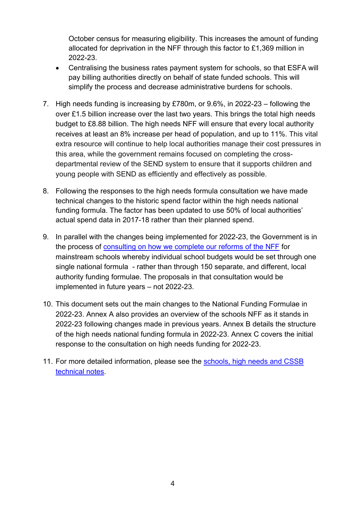October census for measuring eligibility. This increases the amount of funding allocated for deprivation in the NFF through this factor to £1,369 million in 2022-23.

- Centralising the business rates payment system for schools, so that ESFA will pay billing authorities directly on behalf of state funded schools. This will simplify the process and decrease administrative burdens for schools.
- 7. High needs funding is increasing by £780m, or 9.6%, in 2022-23 following the over £1.5 billion increase over the last two years. This brings the total high needs budget to £8.88 billion. The high needs NFF will ensure that every local authority receives at least an 8% increase per head of population, and up to 11%. This vital extra resource will continue to help local authorities manage their cost pressures in this area, while the government remains focused on completing the crossdepartmental review of the SEND system to ensure that it supports children and young people with SEND as efficiently and effectively as possible.
- 8. Following the responses to the high needs formula consultation we have made technical changes to the historic spend factor within the high needs national funding formula. The factor has been updated to use 50% of local authorities' actual spend data in 2017-18 rather than their planned spend.
- 9. In parallel with the changes being implemented for 2022-23, the Government is in the process of [consulting on how we complete our reforms of the NFF](https://consult.education.gov.uk/funding-policy-unit/completing-our-reforms-to-the-nff/consultation/intro/) for mainstream schools whereby individual school budgets would be set through one single national formula - rather than through 150 separate, and different, local authority funding formulae. The proposals in that consultation would be implemented in future years – not 2022-23.
- 10. This document sets out the main changes to the National Funding Formulae in 2022-23. Annex A also provides an overview of the schools NFF as it stands in 2022-23 following changes made in previous years. Annex B details the structure of the high needs national funding formula in 2022-23. Annex C covers the initial response to the consultation on high needs funding for 2022-23.
- 11. For more detailed information, please see the [schools, high needs and CSSB](https://www.gov.uk/government/publications/national-funding-formula-tables-for-schools-and-high-needs-2022-to-2023)  [technical notes.](https://www.gov.uk/government/publications/national-funding-formula-tables-for-schools-and-high-needs-2022-to-2023)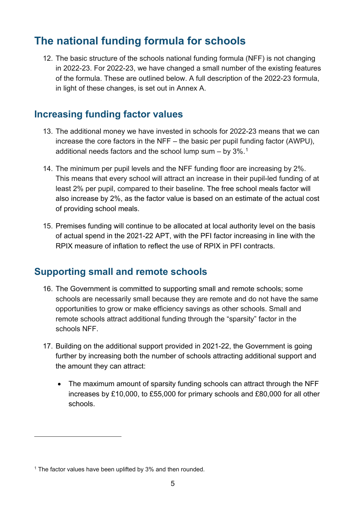# <span id="page-4-0"></span>**The national funding formula for schools**

12. The basic structure of the schools national funding formula (NFF) is not changing in 2022-23. For 2022-23, we have changed a small number of the existing features of the formula. These are outlined below. A full description of the 2022-23 formula, in light of these changes, is set out in Annex A.

## <span id="page-4-1"></span>**Increasing funding factor values**

- 13. The additional money we have invested in schools for 2022-23 means that we can increase the core factors in the NFF – the basic per pupil funding factor (AWPU), additional needs factors and the school lump sum  $-$  by  $3\%$ .<sup>1</sup>
- 14. The minimum per pupil levels and the NFF funding floor are increasing by 2%. This means that every school will attract an increase in their pupil-led funding of at least 2% per pupil, compared to their baseline. The free school meals factor will also increase by 2%, as the factor value is based on an estimate of the actual cost of providing school meals.
- 15. Premises funding will continue to be allocated at local authority level on the basis of actual spend in the 2021-22 APT, with the PFI factor increasing in line with the RPIX measure of inflation to reflect the use of RPIX in PFI contracts.

## <span id="page-4-2"></span>**Supporting small and remote schools**

- 16. The Government is committed to supporting small and remote schools; some schools are necessarily small because they are remote and do not have the same opportunities to grow or make efficiency savings as other schools. Small and remote schools attract additional funding through the "sparsity" factor in the schools NFF.
- 17. Building on the additional support provided in 2021-22, the Government is going further by increasing both the number of schools attracting additional support and the amount they can attract:
	- The maximum amount of sparsity funding schools can attract through the NFF increases by £10,000, to £55,000 for primary schools and £80,000 for all other schools.

<span id="page-4-3"></span><sup>&</sup>lt;sup>1</sup> The factor values have been uplifted by 3% and then rounded.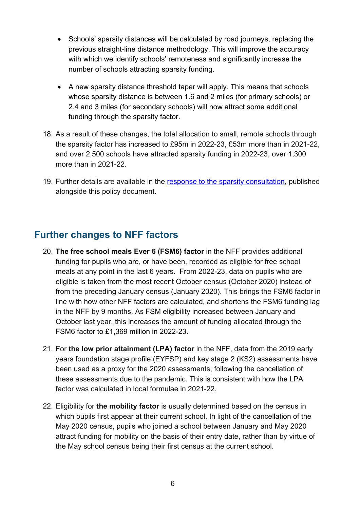- Schools' sparsity distances will be calculated by road journeys, replacing the previous straight-line distance methodology. This will improve the accuracy with which we identify schools' remoteness and significantly increase the number of schools attracting sparsity funding.
- A new sparsity distance threshold taper will apply. This means that schools whose sparsity distance is between 1.6 and 2 miles (for primary schools) or 2.4 and 3 miles (for secondary schools) will now attract some additional funding through the sparsity factor.
- 18. As a result of these changes, the total allocation to small, remote schools through the sparsity factor has increased to £95m in 2022-23, £53m more than in 2021-22, and over 2,500 schools have attracted sparsity funding in 2022-23, over 1,300 more than in 2021-22.
- 19. Further details are available in the [response to the sparsity consultation,](https://www.gov.uk/government/consultations/schools-national-funding-formula-changes-to-sparsity-factor) published alongside this policy document.

## <span id="page-5-0"></span>**Further changes to NFF factors**

- 20. **The free school meals Ever 6 (FSM6) factor** in the NFF provides additional funding for pupils who are, or have been, recorded as eligible for free school meals at any point in the last 6 years. From 2022-23, data on pupils who are eligible is taken from the most recent October census (October 2020) instead of from the preceding January census (January 2020). This brings the FSM6 factor in line with how other NFF factors are calculated, and shortens the FSM6 funding lag in the NFF by 9 months. As FSM eligibility increased between January and October last year, this increases the amount of funding allocated through the FSM6 factor to £1,369 million in 2022-23.
- 21. For **the low prior attainment (LPA) factor** in the NFF, data from the 2019 early years foundation stage profile (EYFSP) and key stage 2 (KS2) assessments have been used as a proxy for the 2020 assessments, following the cancellation of these assessments due to the pandemic. This is consistent with how the LPA factor was calculated in local formulae in 2021-22.
- 22. Eligibility for **the mobility factor** is usually determined based on the census in which pupils first appear at their current school. In light of the cancellation of the May 2020 census, pupils who joined a school between January and May 2020 attract funding for mobility on the basis of their entry date, rather than by virtue of the May school census being their first census at the current school.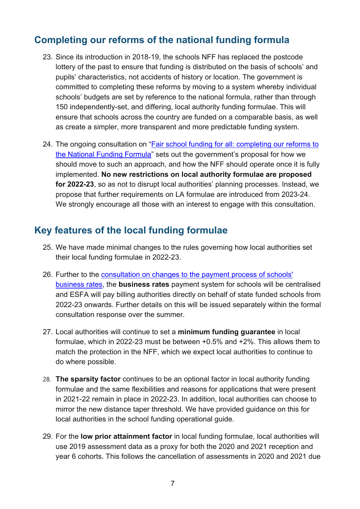## <span id="page-6-0"></span>**Completing our reforms of the national funding formula**

- 23. Since its introduction in 2018-19, the schools NFF has replaced the postcode lottery of the past to ensure that funding is distributed on the basis of schools' and pupils' characteristics, not accidents of history or location. The government is committed to completing these reforms by moving to a system whereby individual schools' budgets are set by reference to the national formula, rather than through 150 independently-set, and differing, local authority funding formulae. This will ensure that schools across the country are funded on a comparable basis, as well as create a simpler, more transparent and more predictable funding system.
- 24. The ongoing consultation on ["Fair school funding for all: completing our reforms to](https://consult.education.gov.uk/funding-policy-unit/completing-our-reforms-to-the-nff/consultation/intro/)  [the National Funding Formula"](https://consult.education.gov.uk/funding-policy-unit/completing-our-reforms-to-the-nff/consultation/intro/) sets out the government's proposal for how we should move to such an approach, and how the NFF should operate once it is fully implemented. **No new restrictions on local authority formulae are proposed for 2022-23**, so as not to disrupt local authorities' planning processes. Instead, we propose that further requirements on LA formulae are introduced from 2023-24. We strongly encourage all those with an interest to engage with this consultation.

## <span id="page-6-1"></span>**Key features of the local funding formulae**

- 25. We have made minimal changes to the rules governing how local authorities set their local funding formulae in 2022-23.
- 26. Further to the [consultation on changes to the payment process of schools'](https://www.gov.uk/government/consultations/changes-to-the-payment-process-of-schools-business-rates)  [business rates,](https://www.gov.uk/government/consultations/changes-to-the-payment-process-of-schools-business-rates) the **business rates** payment system for schools will be centralised and ESFA will pay billing authorities directly on behalf of state funded schools from 2022-23 onwards. Further details on this will be issued separately within the formal consultation response over the summer.
- 27. Local authorities will continue to set a **minimum funding guarantee** in local formulae, which in 2022-23 must be between +0.5% and +2%. This allows them to match the protection in the NFF, which we expect local authorities to continue to do where possible.
- 28. **The sparsity factor** continues to be an optional factor in local authority funding formulae and the same flexibilities and reasons for applications that were present in 2021-22 remain in place in 2022-23. In addition, local authorities can choose to mirror the new distance taper threshold. We have provided guidance on this for local authorities in the school funding operational guide.
- 29. For the **low prior attainment factor** in local funding formulae, local authorities will use 2019 assessment data as a proxy for both the 2020 and 2021 reception and year 6 cohorts. This follows the cancellation of assessments in 2020 and 2021 due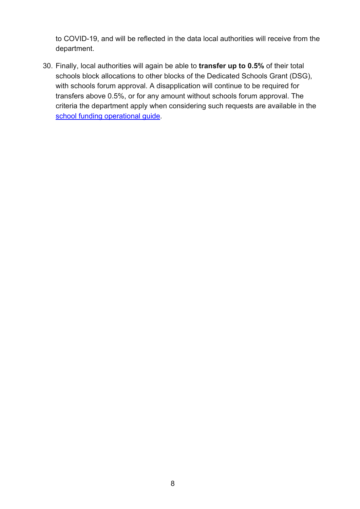to COVID-19, and will be reflected in the data local authorities will receive from the department.

30. Finally, local authorities will again be able to **transfer up to 0.5%** of their total schools block allocations to other blocks of the Dedicated Schools Grant (DSG), with schools forum approval. A disapplication will continue to be required for transfers above 0.5%, or for any amount without schools forum approval. The criteria the department apply when considering such requests are available in the [school funding operational guide.](https://www.gov.uk/government/publications/pre-16-schools-funding-local-authority-guidance-for-2022-to-2023)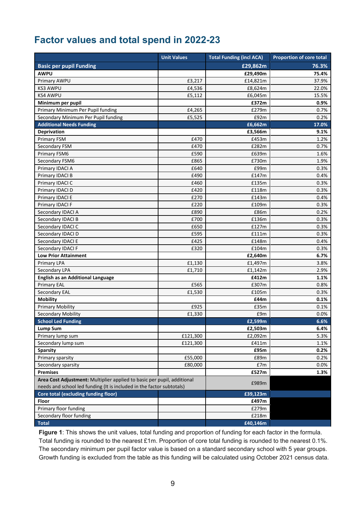## <span id="page-8-0"></span>**Factor values and total spend in 2022-23**

|                                                                         | <b>Unit Values</b> | <b>Total Funding (incl ACA)</b> | <b>Proportion of core total</b> |
|-------------------------------------------------------------------------|--------------------|---------------------------------|---------------------------------|
| <b>Basic per pupil Funding</b>                                          |                    | £29,862m                        | 76.3%                           |
| <b>AWPU</b>                                                             |                    | £29,490m                        | 75.4%                           |
| Primary AWPU                                                            | £3,217             | £14,821m                        | 37.9%                           |
| <b>KS3 AWPU</b>                                                         | £4,536             | £8,624m                         | 22.0%                           |
| <b>KS4 AWPU</b>                                                         | £5,112             | £6,045m                         | 15.5%                           |
| Minimum per pupil                                                       |                    | £372m                           | 0.9%                            |
| Primary Minimum Per Pupil funding                                       | £4,265             | £279m                           | $0.7\%$                         |
| Secondary Minimum Per Pupil funding                                     | £5,525             | £92m                            | 0.2%                            |
| <b>Additional Needs Funding</b>                                         |                    | £6,662m                         | 17.0%                           |
| <b>Deprivation</b>                                                      |                    | £3,566m                         | 9.1%                            |
| <b>Primary FSM</b>                                                      | £470               | £453m                           | 1.2%                            |
| Secondary FSM                                                           | £470               | £282m                           | $0.7\%$                         |
| Primary FSM6                                                            | £590               | £639m                           | 1.6%                            |
| Secondary FSM6                                                          | £865               | £730m                           | 1.9%                            |
| Primary IDACI A                                                         | £640               | £99m                            | 0.3%                            |
| Primary IDACI B                                                         | £490               | £147m                           | 0.4%                            |
| Primary IDACI C                                                         | £460               | £135m                           | 0.3%                            |
| Primary IDACI D                                                         | £420               | £118m                           | 0.3%                            |
| Primary IDACI E                                                         | £270               | £143m                           | 0.4%                            |
| Primary IDACI F                                                         | £220               | £109m                           | 0.3%                            |
| Secondary IDACI A                                                       | £890               | £86m                            | 0.2%                            |
| Secondary IDACI B                                                       | £700               | £136m                           | 0.3%                            |
| Secondary IDACI C                                                       | £650               | £127m                           | 0.3%                            |
| Secondary IDACI D                                                       | £595               | £111m                           | 0.3%                            |
| Secondary IDACI E                                                       | £425               | £148m                           | 0.4%                            |
| Secondary IDACI F                                                       | £320               | £104m                           | 0.3%                            |
| <b>Low Prior Attainment</b>                                             |                    | £2,640m                         | 6.7%                            |
| <b>Primary LPA</b>                                                      | £1,130             | £1,497m                         | 3.8%                            |
| Secondary LPA                                                           | £1,710             | £1,142m                         | 2.9%                            |
| <b>English as an Additional Language</b>                                |                    | £412m                           | 1.1%                            |
| <b>Primary EAL</b>                                                      | £565               | £307m                           | 0.8%                            |
| Secondary EAL                                                           | £1,530             | £105m                           | 0.3%                            |
| <b>Mobility</b>                                                         |                    | £44m                            | 0.1%                            |
| <b>Primary Mobility</b>                                                 | £925               | £35m                            | 0.1%                            |
| <b>Secondary Mobility</b>                                               | £1,330             | £9m                             | 0.0%                            |
| <b>School Led Funding</b>                                               |                    | £2,599m                         | 6.6%                            |
| <b>Lump Sum</b>                                                         |                    | £2,503m                         | 6.4%                            |
| Primary lump sum                                                        | £121,300           | £2,092m                         | 5.3%                            |
| Secondary lump sum                                                      | £121,300           | £411m                           | 1.1%                            |
| <b>Sparsity</b>                                                         |                    | £95m                            | 0.2%                            |
| Primary sparsity                                                        | £55,000            | £89m                            | 0.2%                            |
| Secondary sparsity                                                      | £80,000            | £7m                             | 0.0%                            |
| <b>Premises</b>                                                         |                    | £527m                           | 1.3%                            |
| Area Cost Adjustment: Multiplier applied to basic per pupil, additional |                    | £989m                           |                                 |
| needs and school led funding (It is included in the factor subtotals)   |                    |                                 |                                 |
| <b>Core total (excluding funding floor)</b>                             |                    | £39,123m                        |                                 |
| Floor                                                                   |                    | £497m                           |                                 |
| Primary floor funding                                                   |                    | £279m                           |                                 |
| Secondary floor funding                                                 |                    | £218m                           |                                 |
| <b>Total</b>                                                            |                    | £40,146m                        |                                 |

**Figure 1**: This shows the unit values, total funding and proportion of funding for each factor in the formula. Total funding is rounded to the nearest £1m. Proportion of core total funding is rounded to the nearest 0.1%. The secondary minimum per pupil factor value is based on a standard secondary school with 5 year groups. Growth funding is excluded from the table as this funding will be calculated using October 2021 census data.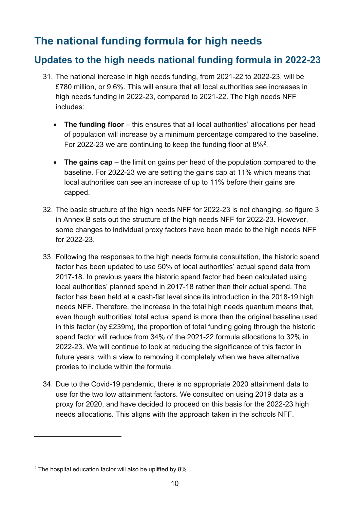# <span id="page-9-0"></span>**The national funding formula for high needs**

## **Updates to the high needs national funding formula in 2022-23**

- 31. The national increase in high needs funding, from 2021-22 to 2022-23, will be £780 million, or 9.6%. This will ensure that all local authorities see increases in high needs funding in 2022-23, compared to 2021-22. The high needs NFF includes:
	- **The funding floor** this ensures that all local authorities' allocations per head of population will increase by a minimum percentage compared to the baseline. For 2022-23 we are continuing to keep the funding floor at 8%[2](#page-9-1).
	- **The gains cap** the limit on gains per head of the population compared to the baseline. For 2022-23 we are setting the gains cap at 11% which means that local authorities can see an increase of up to 11% before their gains are capped.
- 32. The basic structure of the high needs NFF for 2022-23 is not changing, so [figure 3](#page-26-1) in Annex B sets out the structure of the high needs NFF for 2022-23. However, some changes to individual proxy factors have been made to the high needs NFF for 2022-23.
- 33. Following the responses to the high needs formula consultation, the historic spend factor has been updated to use 50% of local authorities' actual spend data from 2017-18. In previous years the historic spend factor had been calculated using local authorities' planned spend in 2017-18 rather than their actual spend. The factor has been held at a cash-flat level since its introduction in the 2018-19 high needs NFF. Therefore, the increase in the total high needs quantum means that, even though authorities' total actual spend is more than the original baseline used in this factor (by £239m), the proportion of total funding going through the historic spend factor will reduce from 34% of the 2021-22 formula allocations to 32% in 2022-23. We will continue to look at reducing the significance of this factor in future years, with a view to removing it completely when we have alternative proxies to include within the formula.
- 34. Due to the Covid-19 pandemic, there is no appropriate 2020 attainment data to use for the two low attainment factors. We consulted on using 2019 data as a proxy for 2020, and have decided to proceed on this basis for the 2022-23 high needs allocations. This aligns with the approach taken in the schools NFF.

<span id="page-9-1"></span><sup>&</sup>lt;sup>2</sup> The hospital education factor will also be uplifted by 8%.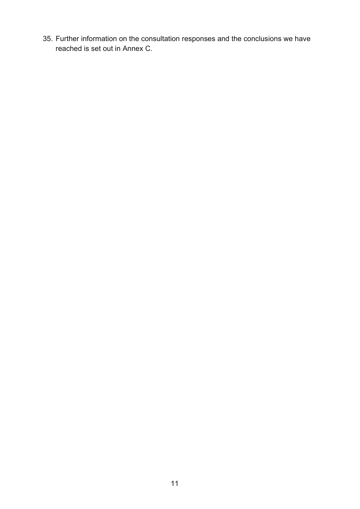35. Further information on the consultation responses and the conclusions we have reached is set out in Annex C.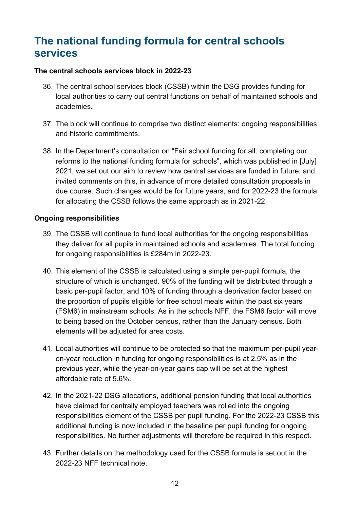# <span id="page-11-0"></span>**The national funding formula for central schools services**

#### **The central schools services block in 2022-23**

- 36. The central school services block (CSSB) within the DSG provides funding for local authorities to carry out central functions on behalf of maintained schools and academies.
- 37. The block will continue to comprise two distinct elements: ongoing responsibilities and historic commitments.
- 38. In the Department's consultation on "Fair school funding for all: completing our reforms to the national funding formula for schools", which was published in [July] 2021, we set out our aim to review how central services are funded in future, and invited comments on this, in advance of more detailed consultation proposals in due course. Such changes would be for future years, and for 2022-23 the formula for allocating the CSSB follows the same approach as in 2021-22.

#### **Ongoing responsibilities**

- 39. The CSSB will continue to fund local authorities for the ongoing responsibilities they deliver for all pupils in maintained schools and academies. The total funding for ongoing responsibilities is £284m in 2022-23.
- 40. This element of the CSSB is calculated using a simple per-pupil formula, the structure of which is unchanged. 90% of the funding will be distributed through a basic per-pupil factor, and 10% of funding through a deprivation factor based on the proportion of pupils eligible for free school meals within the past six years (FSM6) in mainstream schools. As in the schools NFF, the FSM6 factor will move to being based on the October census, rather than the January census. Both elements will be adjusted for area costs.
- 41. Local authorities will continue to be protected so that the maximum per-pupil yearon-year reduction in funding for ongoing responsibilities is at 2.5% as in the previous year, while the year-on-year gains cap will be set at the highest affordable rate of 5.6%.
- 42. In the 2021-22 DSG allocations, additional pension funding that local authorities have claimed for centrally employed teachers was rolled into the ongoing responsibilities element of the CSSB per pupil funding. For the 2022-23 CSSB this additional funding is now included in the baseline per pupil funding for ongoing responsibilities. No further adjustments will therefore be required in this respect.
- 43. Further details on the methodology used for the CSSB formula is set out in the 2022-23 NFF technical note.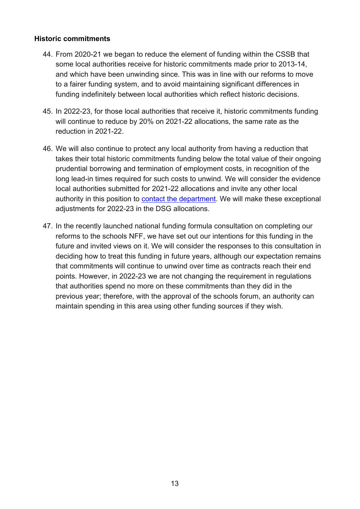#### **Historic commitments**

- 44. From 2020-21 we began to reduce the element of funding within the CSSB that some local authorities receive for historic commitments made prior to 2013-14, and which have been unwinding since. This was in line with our reforms to move to a fairer funding system, and to avoid maintaining significant differences in funding indefinitely between local authorities which reflect historic decisions.
- 45. In 2022-23, for those local authorities that receive it, historic commitments funding will continue to reduce by 20% on 2021-22 allocations, the same rate as the reduction in 2021-22.
- 46. We will also continue to protect any local authority from having a reduction that takes their total historic commitments funding below the total value of their ongoing prudential borrowing and termination of employment costs, in recognition of the long lead-in times required for such costs to unwind. We will consider the evidence local authorities submitted for 2021-22 allocations and invite any other local authority in this position to [contact the department.](https://www.gov.uk/contact-dfe) We will make these exceptional adjustments for 2022-23 in the DSG allocations.
- 47. In the recently launched national funding formula consultation on completing our reforms to the schools NFF, we have set out our intentions for this funding in the future and invited views on it. We will consider the responses to this consultation in deciding how to treat this funding in future years, although our expectation remains that commitments will continue to unwind over time as contracts reach their end points. However, in 2022-23 we are not changing the requirement in regulations that authorities spend no more on these commitments than they did in the previous year; therefore, with the approval of the schools forum, an authority can maintain spending in this area using other funding sources if they wish.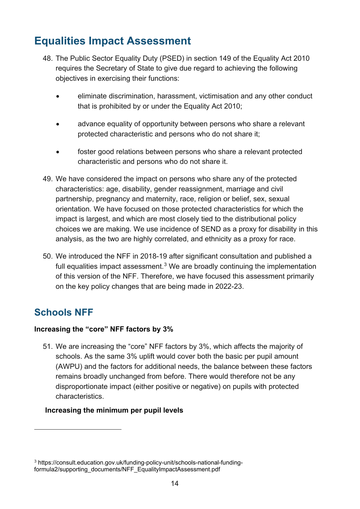# <span id="page-13-0"></span>**Equalities Impact Assessment**

- 48. The Public Sector Equality Duty (PSED) in section 149 of the Equality Act 2010 requires the Secretary of State to give due regard to achieving the following objectives in exercising their functions:
	- eliminate discrimination, harassment, victimisation and any other conduct that is prohibited by or under the Equality Act 2010;
	- advance equality of opportunity between persons who share a relevant protected characteristic and persons who do not share it;
	- foster good relations between persons who share a relevant protected characteristic and persons who do not share it.
- 49. We have considered the impact on persons who share any of the protected characteristics: age, disability, gender reassignment, marriage and civil partnership, pregnancy and maternity, race, religion or belief, sex, sexual orientation. We have focused on those protected characteristics for which the impact is largest, and which are most closely tied to the distributional policy choices we are making. We use incidence of SEND as a proxy for disability in this analysis, as the two are highly correlated, and ethnicity as a proxy for race.
- 50. We introduced the NFF in 2018-19 after significant consultation and published a full equalities impact assessment.<sup>[3](#page-13-2)</sup> We are broadly continuing the implementation of this version of the NFF. Therefore, we have focused this assessment primarily on the key policy changes that are being made in 2022-23.

## <span id="page-13-1"></span>**Schools NFF**

#### **Increasing the "core" NFF factors by 3%**

51. We are increasing the "core" NFF factors by 3%, which affects the majority of schools. As the same 3% uplift would cover both the basic per pupil amount (AWPU) and the factors for additional needs, the balance between these factors remains broadly unchanged from before. There would therefore not be any disproportionate impact (either positive or negative) on pupils with protected characteristics.

#### **Increasing the minimum per pupil levels**

<span id="page-13-2"></span><sup>3</sup> [https://consult.education.gov.uk/funding-policy-unit/schools-national-funding](https://consult.education.gov.uk/funding-policy-unit/schools-national-funding-formula2/supporting_documents/NFF_EqualityImpactAssessment.pdf)[formula2/supporting\\_documents/NFF\\_EqualityImpactAssessment.pdf](https://consult.education.gov.uk/funding-policy-unit/schools-national-funding-formula2/supporting_documents/NFF_EqualityImpactAssessment.pdf)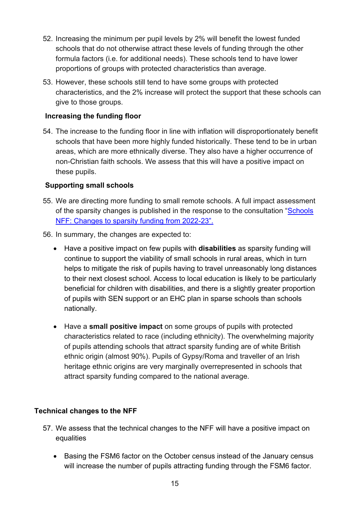- 52. Increasing the minimum per pupil levels by 2% will benefit the lowest funded schools that do not otherwise attract these levels of funding through the other formula factors (i.e. for additional needs). These schools tend to have lower proportions of groups with protected characteristics than average.
- 53. However, these schools still tend to have some groups with protected characteristics, and the 2% increase will protect the support that these schools can give to those groups.

#### **Increasing the funding floor**

54. The increase to the funding floor in line with inflation will disproportionately benefit schools that have been more highly funded historically. These tend to be in urban areas, which are more ethnically diverse. They also have a higher occurrence of non-Christian faith schools. We assess that this will have a positive impact on these pupils.

#### **Supporting small schools**

- 55. We are directing more funding to small remote schools. A full impact assessment of the sparsity changes is published in the response to the consultation ["Schools](https://consult.education.gov.uk/we_asked_you_said/)  [NFF: Changes to sparsity funding from 2022-23"](https://consult.education.gov.uk/we_asked_you_said/).
- 56. In summary, the changes are expected to:
	- Have a positive impact on few pupils with **disabilities** as sparsity funding will continue to support the viability of small schools in rural areas, which in turn helps to mitigate the risk of pupils having to travel unreasonably long distances to their next closest school. Access to local education is likely to be particularly beneficial for children with disabilities, and there is a slightly greater proportion of pupils with SEN support or an EHC plan in sparse schools than schools nationally.
	- Have a **small positive impact** on some groups of pupils with protected characteristics related to race (including ethnicity). The overwhelming majority of pupils attending schools that attract sparsity funding are of white British ethnic origin (almost 90%). Pupils of Gypsy/Roma and traveller of an Irish heritage ethnic origins are very marginally overrepresented in schools that attract sparsity funding compared to the national average.

#### **Technical changes to the NFF**

- 57. We assess that the technical changes to the NFF will have a positive impact on equalities
	- Basing the FSM6 factor on the October census instead of the January census will increase the number of pupils attracting funding through the FSM6 factor.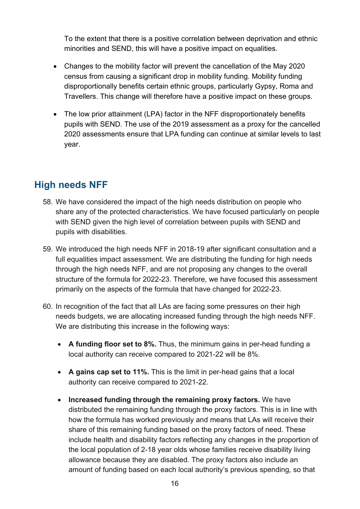To the extent that there is a positive correlation between deprivation and ethnic minorities and SEND, this will have a positive impact on equalities.

- Changes to the mobility factor will prevent the cancellation of the May 2020 census from causing a significant drop in mobility funding. Mobility funding disproportionally benefits certain ethnic groups, particularly Gypsy, Roma and Travellers. This change will therefore have a positive impact on these groups.
- The low prior attainment (LPA) factor in the NFF disproportionately benefits pupils with SEND. The use of the 2019 assessment as a proxy for the cancelled 2020 assessments ensure that LPA funding can continue at similar levels to last year.

## <span id="page-15-0"></span>**High needs NFF**

- 58. We have considered the impact of the high needs distribution on people who share any of the protected characteristics. We have focused particularly on people with SEND given the high level of correlation between pupils with SEND and pupils with disabilities.
- 59. We introduced the high needs NFF in 2018-19 after significant consultation and a full equalities impact assessment. We are distributing the funding for high needs through the high needs NFF, and are not proposing any changes to the overall structure of the formula for 2022-23. Therefore, we have focused this assessment primarily on the aspects of the formula that have changed for 2022-23.
- 60. In recognition of the fact that all LAs are facing some pressures on their high needs budgets, we are allocating increased funding through the high needs NFF. We are distributing this increase in the following ways:
	- **A funding floor set to 8%.** Thus, the minimum gains in per-head funding a local authority can receive compared to 2021-22 will be 8%.
	- **A gains cap set to 11%.** This is the limit in per-head gains that a local authority can receive compared to 2021-22.
	- **Increased funding through the remaining proxy factors.** We have distributed the remaining funding through the proxy factors. This is in line with how the formula has worked previously and means that LAs will receive their share of this remaining funding based on the proxy factors of need. These include health and disability factors reflecting any changes in the proportion of the local population of 2-18 year olds whose families receive disability living allowance because they are disabled. The proxy factors also include an amount of funding based on each local authority's previous spending, so that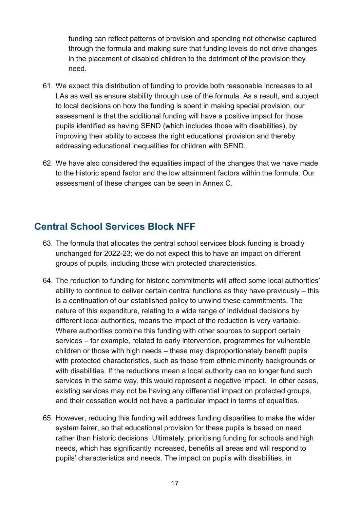funding can reflect patterns of provision and spending not otherwise captured through the formula and making sure that funding levels do not drive changes in the placement of disabled children to the detriment of the provision they need.

- 61. We expect this distribution of funding to provide both reasonable increases to all LAs as well as ensure stability through use of the formula. As a result, and subject to local decisions on how the funding is spent in making special provision, our assessment is that the additional funding will have a positive impact for those pupils identified as having SEND (which includes those with disabilities), by improving their ability to access the right educational provision and thereby addressing educational inequalities for children with SEND.
- 62. We have also considered the equalities impact of the changes that we have made to the historic spend factor and the low attainment factors within the formula. Our assessment of these changes can be seen in Annex C.

## <span id="page-16-0"></span>**Central School Services Block NFF**

- 63. The formula that allocates the central school services block funding is broadly unchanged for 2022-23; we do not expect this to have an impact on different groups of pupils, including those with protected characteristics.
- 64. The reduction to funding for historic commitments will affect some local authorities' ability to continue to deliver certain central functions as they have previously – this is a continuation of our established policy to unwind these commitments. The nature of this expenditure, relating to a wide range of individual decisions by different local authorities, means the impact of the reduction is very variable. Where authorities combine this funding with other sources to support certain services – for example, related to early intervention, programmes for vulnerable children or those with high needs – these may disproportionately benefit pupils with protected characteristics, such as those from ethnic minority backgrounds or with disabilities. If the reductions mean a local authority can no longer fund such services in the same way, this would represent a negative impact. In other cases, existing services may not be having any differential impact on protected groups, and their cessation would not have a particular impact in terms of equalities.
- 65. However, reducing this funding will address funding disparities to make the wider system fairer, so that educational provision for these pupils is based on need rather than historic decisions. Ultimately, prioritising funding for schools and high needs, which has significantly increased, benefits all areas and will respond to pupils' characteristics and needs. The impact on pupils with disabilities, in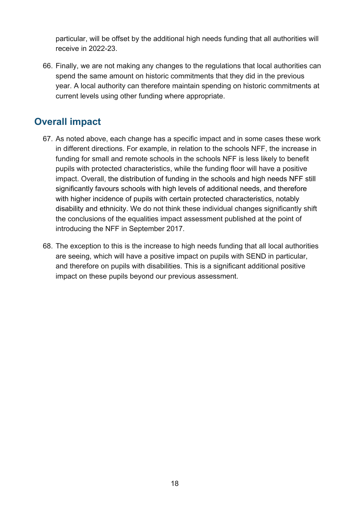particular, will be offset by the additional high needs funding that all authorities will receive in 2022-23.

66. Finally, we are not making any changes to the regulations that local authorities can spend the same amount on historic commitments that they did in the previous year. A local authority can therefore maintain spending on historic commitments at current levels using other funding where appropriate.

## <span id="page-17-0"></span>**Overall impact**

- 67. As noted above, each change has a specific impact and in some cases these work in different directions. For example, in relation to the schools NFF, the increase in funding for small and remote schools in the schools NFF is less likely to benefit pupils with protected characteristics, while the funding floor will have a positive impact. Overall, the distribution of funding in the schools and high needs NFF still significantly favours schools with high levels of additional needs, and therefore with higher incidence of pupils with certain protected characteristics, notably disability and ethnicity. We do not think these individual changes significantly shift the conclusions of the equalities impact assessment published at the point of introducing the NFF in September 2017.
- 68. The exception to this is the increase to high needs funding that all local authorities are seeing, which will have a positive impact on pupils with SEND in particular, and therefore on pupils with disabilities. This is a significant additional positive impact on these pupils beyond our previous assessment.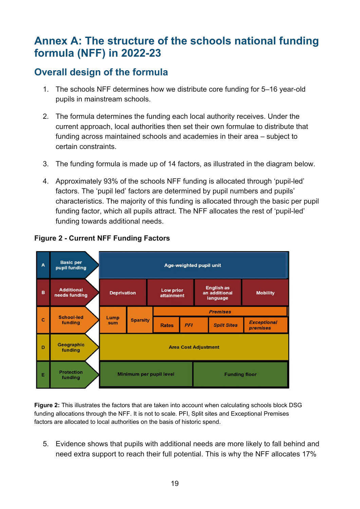# <span id="page-18-0"></span>**Annex A: The structure of the schools national funding formula (NFF) in 2022-23**

# **Overall design of the formula**

- 1. The schools NFF determines how we distribute core funding for 5–16 year-old pupils in mainstream schools.
- 2. The formula determines the funding each local authority receives. Under the current approach, local authorities then set their own formulae to distribute that funding across maintained schools and academies in their area – subject to certain constraints.
- 3. The funding formula is made up of 14 factors, as illustrated in the diagram below.
- 4. Approximately 93% of the schools NFF funding is allocated through 'pupil-led' factors. The 'pupil led' factors are determined by pupil numbers and pupils' characteristics. The majority of this funding is allocated through the basic per pupil funding factor, which all pupils attract. The NFF allocates the rest of 'pupil-led' funding towards additional needs.



#### **Figure 2 - Current NFF Funding Factors**

**Figure 2:** This illustrates the factors that are taken into account when calculating schools block DSG funding allocations through the NFF. It is not to scale. PFI, Split sites and Exceptional Premises factors are allocated to local authorities on the basis of historic spend.

5. Evidence shows that pupils with additional needs are more likely to fall behind and need extra support to reach their full potential. This is why the NFF allocates 17%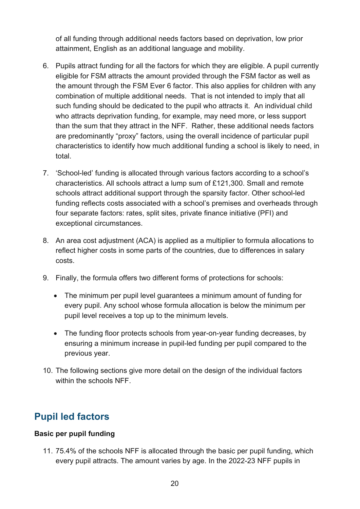of all funding through additional needs factors based on deprivation, low prior attainment, English as an additional language and mobility.

- 6. Pupils attract funding for all the factors for which they are eligible. A pupil currently eligible for FSM attracts the amount provided through the FSM factor as well as the amount through the FSM Ever 6 factor. This also applies for children with any combination of multiple additional needs. That is not intended to imply that all such funding should be dedicated to the pupil who attracts it. An individual child who attracts deprivation funding, for example, may need more, or less support than the sum that they attract in the NFF. Rather, these additional needs factors are predominantly "proxy" factors, using the overall incidence of particular pupil characteristics to identify how much additional funding a school is likely to need, in total.
- 7. 'School-led' funding is allocated through various factors according to a school's characteristics. All schools attract a lump sum of £121,300. Small and remote schools attract additional support through the sparsity factor. Other school-led funding reflects costs associated with a school's premises and overheads through four separate factors: rates, split sites, private finance initiative (PFI) and exceptional circumstances.
- 8. An area cost adjustment (ACA) is applied as a multiplier to formula allocations to reflect higher costs in some parts of the countries, due to differences in salary costs.
- 9. Finally, the formula offers two different forms of protections for schools:
	- The minimum per pupil level guarantees a minimum amount of funding for every pupil. Any school whose formula allocation is below the minimum per pupil level receives a top up to the minimum levels.
	- The funding floor protects schools from year-on-year funding decreases, by ensuring a minimum increase in pupil-led funding per pupil compared to the previous year.
- 10. The following sections give more detail on the design of the individual factors within the schools NFF

# **Pupil led factors**

#### **Basic per pupil funding**

11. 75.4% of the schools NFF is allocated through the basic per pupil funding, which every pupil attracts. The amount varies by age. In the 2022-23 NFF pupils in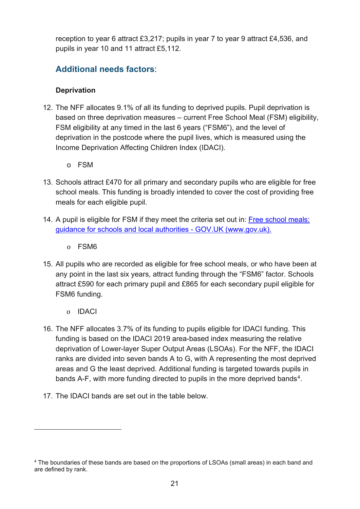reception to year 6 attract £3,217; pupils in year 7 to year 9 attract £4,536, and pupils in year 10 and 11 attract £5,112.

## **Additional needs factors**:

#### **Deprivation**

- 12. The NFF allocates 9.1% of all its funding to deprived pupils. Pupil deprivation is based on three deprivation measures – current Free School Meal (FSM) eligibility, FSM eligibility at any timed in the last 6 years ("FSM6"), and the level of deprivation in the postcode where the pupil lives, which is measured using the Income Deprivation Affecting Children Index (IDACI).
	- o FSM
- 13. Schools attract £470 for all primary and secondary pupils who are eligible for free school meals. This funding is broadly intended to cover the cost of providing free meals for each eligible pupil.
- 14. A pupil is eligible for FSM if they meet the criteria set out in: Free school meals: [guidance for schools and local authorities - GOV.UK \(www.gov.uk\).](https://www.gov.uk/government/publications/free-school-meals-guidance-for-schools-and-local-authorities)
	- o FSM6
- 15. All pupils who are recorded as eligible for free school meals, or who have been at any point in the last six years, attract funding through the "FSM6" factor. Schools attract £590 for each primary pupil and £865 for each secondary pupil eligible for FSM6 funding.
	- o IDACI
- 16. The NFF allocates 3.7% of its funding to pupils eligible for IDACI funding. This funding is based on the IDACI 2019 area-based index measuring the relative deprivation of Lower-layer Super Output Areas (LSOAs). For the NFF, the IDACI ranks are divided into seven bands A to G, with A representing the most deprived areas and G the least deprived. Additional funding is targeted towards pupils in bands A-F, with more funding directed to pupils in the more deprived bands<sup>4</sup>.
- 17. The IDACI bands are set out in the table below.

<span id="page-20-0"></span><sup>&</sup>lt;sup>4</sup> The boundaries of these bands are based on the proportions of LSOAs (small areas) in each band and are defined by rank.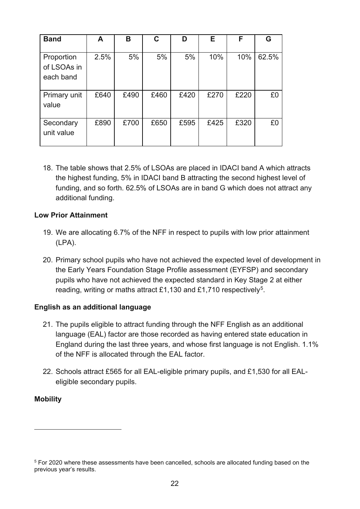| <b>Band</b>                            | A    | в    | C    | D    | Е    | F    | G     |
|----------------------------------------|------|------|------|------|------|------|-------|
| Proportion<br>of LSOAs in<br>each band | 2.5% | 5%   | 5%   | 5%   | 10%  | 10%  | 62.5% |
| Primary unit<br>value                  | £640 | £490 | £460 | £420 | £270 | £220 | £0    |
| Secondary<br>unit value                | £890 | £700 | £650 | £595 | £425 | £320 | £0    |

18. The table shows that 2.5% of LSOAs are placed in IDACI band A which attracts the highest funding, 5% in IDACI band B attracting the second highest level of funding, and so forth. 62.5% of LSOAs are in band G which does not attract any additional funding.

#### **Low Prior Attainment**

- 19. We are allocating 6.7% of the NFF in respect to pupils with low prior attainment (LPA).
- 20. Primary school pupils who have not achieved the expected level of development in the Early Years Foundation Stage Profile assessment (EYFSP) and secondary pupils who have not achieved the expected standard in Key Stage 2 at either reading, writing or maths attract £1,130 and £1,710 respectively<sup>[5](#page-21-0)</sup>.

#### **English as an additional language**

- 21. The pupils eligible to attract funding through the NFF English as an additional language (EAL) factor are those recorded as having entered state education in England during the last three years, and whose first language is not English. 1.1% of the NFF is allocated through the EAL factor.
- 22. Schools attract £565 for all EAL-eligible primary pupils, and £1,530 for all EALeligible secondary pupils.

#### **Mobility**

<span id="page-21-0"></span><sup>&</sup>lt;sup>5</sup> For 2020 where these assessments have been cancelled, schools are allocated funding based on the previous year's results.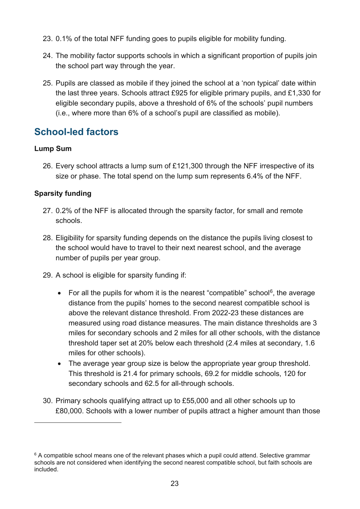- 23. 0.1% of the total NFF funding goes to pupils eligible for mobility funding.
- 24. The mobility factor supports schools in which a significant proportion of pupils join the school part way through the year.
- 25. Pupils are classed as mobile if they joined the school at a 'non typical' date within the last three years. Schools attract £925 for eligible primary pupils, and £1,330 for eligible secondary pupils, above a threshold of 6% of the schools' pupil numbers (i.e., where more than 6% of a school's pupil are classified as mobile).

## **School-led factors**

#### **Lump Sum**

26. Every school attracts a lump sum of £121,300 through the NFF irrespective of its size or phase. The total spend on the lump sum represents 6.4% of the NFF.

#### **Sparsity funding**

- 27. 0.2% of the NFF is allocated through the sparsity factor, for small and remote schools.
- 28. Eligibility for sparsity funding depends on the distance the pupils living closest to the school would have to travel to their next nearest school, and the average number of pupils per year group.
- 29. A school is eligible for sparsity funding if:
	- For all the pupils for whom it is the nearest "compatible" school<sup>[6](#page-22-0)</sup>, the average distance from the pupils' homes to the second nearest compatible school is above the relevant distance threshold. From 2022-23 these distances are measured using road distance measures. The main distance thresholds are 3 miles for secondary schools and 2 miles for all other schools, with the distance threshold taper set at 20% below each threshold (2.4 miles at secondary, 1.6 miles for other schools).
	- The average year group size is below the appropriate year group threshold. This threshold is 21.4 for primary schools, 69.2 for middle schools, 120 for secondary schools and 62.5 for all-through schools.
- 30. Primary schools qualifying attract up to £55,000 and all other schools up to £80,000. Schools with a lower number of pupils attract a higher amount than those

<span id="page-22-0"></span> $6$  A compatible school means one of the relevant phases which a pupil could attend. Selective grammar schools are not considered when identifying the second nearest compatible school, but faith schools are included.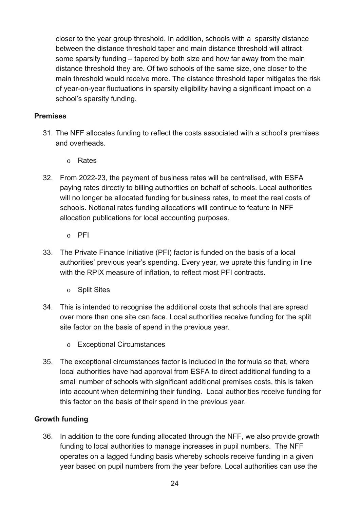closer to the year group threshold. In addition, schools with a sparsity distance between the distance threshold taper and main distance threshold will attract some sparsity funding – tapered by both size and how far away from the main distance threshold they are. Of two schools of the same size, one closer to the main threshold would receive more. The distance threshold taper mitigates the risk of year-on-year fluctuations in sparsity eligibility having a significant impact on a school's sparsity funding.

#### **Premises**

- 31. The NFF allocates funding to reflect the costs associated with a school's premises and overheads.
	- o Rates
- 32. From 2022-23, the payment of business rates will be centralised, with ESFA paying rates directly to billing authorities on behalf of schools. Local authorities will no longer be allocated funding for business rates, to meet the real costs of schools. Notional rates funding allocations will continue to feature in NFF allocation publications for local accounting purposes.
	- o PFI
- 33. The Private Finance Initiative (PFI) factor is funded on the basis of a local authorities' previous year's spending. Every year, we uprate this funding in line with the RPIX measure of inflation, to reflect most PFI contracts.
	- o Split Sites
- 34. This is intended to recognise the additional costs that schools that are spread over more than one site can face. Local authorities receive funding for the split site factor on the basis of spend in the previous year.
	- o Exceptional Circumstances
- 35. The exceptional circumstances factor is included in the formula so that, where local authorities have had approval from ESFA to direct additional funding to a small number of schools with significant additional premises costs, this is taken into account when determining their funding. Local authorities receive funding for this factor on the basis of their spend in the previous year.

#### **Growth funding**

36. In addition to the core funding allocated through the NFF, we also provide growth funding to local authorities to manage increases in pupil numbers. The NFF operates on a lagged funding basis whereby schools receive funding in a given year based on pupil numbers from the year before. Local authorities can use the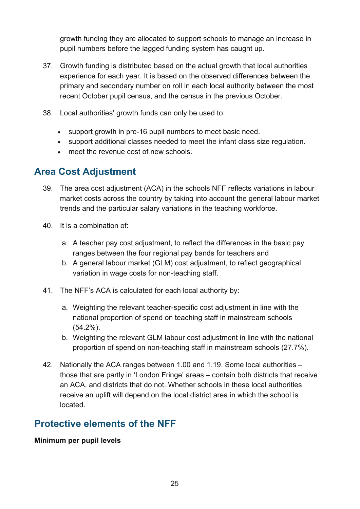growth funding they are allocated to support schools to manage an increase in pupil numbers before the lagged funding system has caught up.

- 37. Growth funding is distributed based on the actual growth that local authorities experience for each year. It is based on the observed differences between the primary and secondary number on roll in each local authority between the most recent October pupil census, and the census in the previous October.
- 38. Local authorities' growth funds can only be used to:
	- support growth in pre-16 pupil numbers to meet basic need.
	- support additional classes needed to meet the infant class size regulation.
	- meet the revenue cost of new schools.

## **Area Cost Adjustment**

- 39. The area cost adjustment (ACA) in the schools NFF reflects variations in labour market costs across the country by taking into account the general labour market trends and the particular salary variations in the teaching workforce.
- 40. It is a combination of:
	- a. A teacher pay cost adjustment, to reflect the differences in the basic pay ranges between the four regional pay bands for teachers and
	- b. A general labour market (GLM) cost adjustment, to reflect geographical variation in wage costs for non-teaching staff.
- 41. The NFF's ACA is calculated for each local authority by:
	- a. Weighting the relevant teacher-specific cost adjustment in line with the national proportion of spend on teaching staff in mainstream schools (54.2%).
	- b. Weighting the relevant GLM labour cost adjustment in line with the national proportion of spend on non-teaching staff in mainstream schools (27.7%).
- 42. Nationally the ACA ranges between 1.00 and 1.19. Some local authorities those that are partly in 'London Fringe' areas – contain both districts that receive an ACA, and districts that do not. Whether schools in these local authorities receive an uplift will depend on the local district area in which the school is located.

## **Protective elements of the NFF**

#### **Minimum per pupil levels**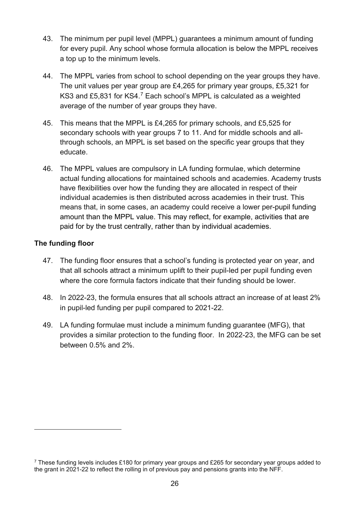- 43. The minimum per pupil level (MPPL) guarantees a minimum amount of funding for every pupil. Any school whose formula allocation is below the MPPL receives a top up to the minimum levels.
- 44. The MPPL varies from school to school depending on the year groups they have. The unit values per year group are £4,265 for primary year groups, £5,321 for KS3 and £5,831 for KS4.[7](#page-25-0) Each school's MPPL is calculated as a weighted average of the number of year groups they have.
- 45. This means that the MPPL is £4,265 for primary schools, and £5,525 for secondary schools with year groups 7 to 11. And for middle schools and allthrough schools, an MPPL is set based on the specific year groups that they educate.
- 46. The MPPL values are compulsory in LA funding formulae, which determine actual funding allocations for maintained schools and academies. Academy trusts have flexibilities over how the funding they are allocated in respect of their individual academies is then distributed across academies in their trust. This means that, in some cases, an academy could receive a lower per-pupil funding amount than the MPPL value. This may reflect, for example, activities that are paid for by the trust centrally, rather than by individual academies.

#### **The funding floor**

- 47. The funding floor ensures that a school's funding is protected year on year, and that all schools attract a minimum uplift to their pupil-led per pupil funding even where the core formula factors indicate that their funding should be lower.
- 48. In 2022-23, the formula ensures that all schools attract an increase of at least 2% in pupil-led funding per pupil compared to 2021-22.
- 49. LA funding formulae must include a minimum funding guarantee (MFG), that provides a similar protection to the funding floor. In 2022-23, the MFG can be set between 0.5% and 2%.

<span id="page-25-0"></span><sup>&</sup>lt;sup>7</sup> These funding levels includes £180 for primary year groups and £265 for secondary year groups added to the grant in 2021-22 to reflect the rolling in of previous pay and pensions grants into the NFF.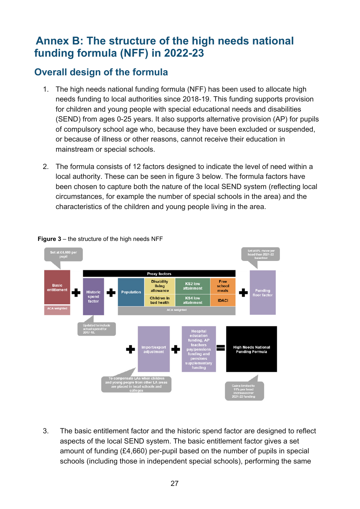# <span id="page-26-0"></span>**Annex B: The structure of the high needs national funding formula (NFF) in 2022-23**

# **Overall design of the formula**

- 1. The high needs national funding formula (NFF) has been used to allocate high needs funding to local authorities since 2018-19. This funding supports provision for children and young people with special educational needs and disabilities (SEND) from ages 0-25 years. It also supports alternative provision (AP) for pupils of compulsory school age who, because they have been excluded or suspended, or because of illness or other reasons, cannot receive their education in mainstream or special schools.
- 2. The formula consists of 12 factors designed to indicate the level of need within a local authority. These can be seen in figure 3 below. The formula factors have been chosen to capture both the nature of the local SEND system (reflecting local circumstances, for example the number of special schools in the area) and the characteristics of the children and young people living in the area.



#### <span id="page-26-1"></span>**Figure 3** – the structure of the high needs NFF

3. The basic entitlement factor and the historic spend factor are designed to reflect aspects of the local SEND system. The basic entitlement factor gives a set amount of funding (£4,660) per-pupil based on the number of pupils in special schools (including those in independent special schools), performing the same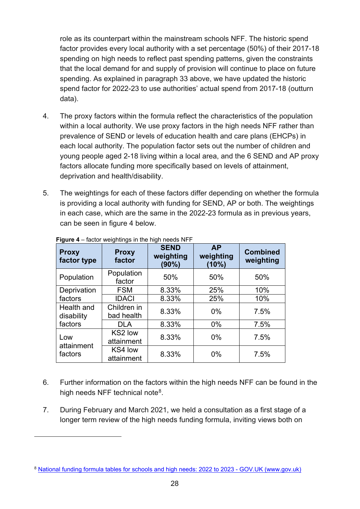role as its counterpart within the mainstream schools NFF. The historic spend factor provides every local authority with a set percentage (50%) of their 2017-18 spending on high needs to reflect past spending patterns, given the constraints that the local demand for and supply of provision will continue to place on future spending. As explained in paragraph 33 above, we have updated the historic spend factor for 2022-23 to use authorities' actual spend from 2017-18 (outturn data).

- 4. The proxy factors within the formula reflect the characteristics of the population within a local authority. We use proxy factors in the high needs NFF rather than prevalence of SEND or levels of education health and care plans (EHCPs) in each local authority. The population factor sets out the number of children and young people aged 2-18 living within a local area, and the 6 SEND and AP proxy factors allocate funding more specifically based on levels of attainment, deprivation and health/disability.
- 5. The weightings for each of these factors differ depending on whether the formula is providing a local authority with funding for SEND, AP or both. The weightings in each case, which are the same in the 2022-23 formula as in previous years, can be seen in figure 4 below.

| <b>Proxy</b><br>factor type | <b>Proxy</b><br>factor    | <b>SEND</b><br>weighting<br>(90%) | <b>AP</b><br>weighting<br>(10%) | <b>Combined</b><br>weighting |
|-----------------------------|---------------------------|-----------------------------------|---------------------------------|------------------------------|
| Population                  | Population<br>factor      | 50%                               | 50%                             | 50%                          |
| Deprivation                 | <b>FSM</b>                | 8.33%                             | 25%                             | 10%                          |
| factors                     | <b>IDACI</b>              | 8.33%                             | 25%                             | 10%                          |
| Health and<br>disability    | Children in<br>bad health | 8.33%                             | 0%                              | 7.5%                         |
| factors                     | <b>DLA</b>                | 8.33%                             | $0\%$                           | 7.5%                         |
| Low<br>attainment           | KS2 low<br>attainment     | 8.33%                             | 0%                              | 7.5%                         |
| factors                     | KS4 low<br>attainment     | 8.33%                             | 0%                              | 7.5%                         |

#### **Figure 4** – factor weightings in the high needs NFF

- 6. Further information on the factors within the high needs NFF can be found in the high needs NFF technical note<sup>8</sup>.
- 7. During February and March 2021, we held a consultation as a first stage of a longer term review of the high needs funding formula, inviting views both on

<span id="page-27-0"></span><sup>8</sup> [National funding formula tables for schools and high needs: 2022 to 2023 - GOV.UK \(www.gov.uk\)](https://www.gov.uk/government/publications/national-funding-formula-tables-for-schools-and-high-needs-2022-to-2023)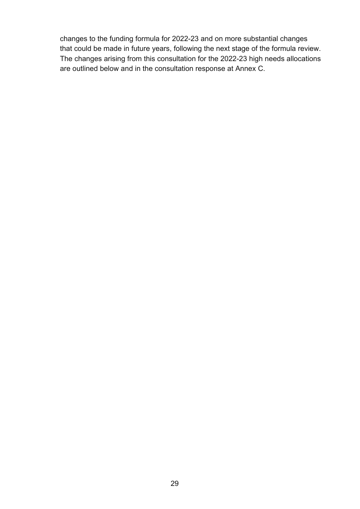changes to the funding formula for 2022-23 and on more substantial changes that could be made in future years, following the next stage of the formula review. The changes arising from this consultation for the 2022-23 high needs allocations are outlined below and in the consultation response at Annex C.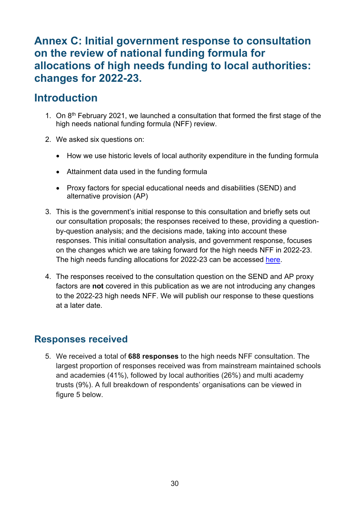# <span id="page-29-0"></span>**Annex C: Initial government response to consultation on the review of national funding formula for allocations of high needs funding to local authorities: changes for 2022-23.**

# **Introduction**

- 1. On  $8<sup>th</sup>$  February 2021, we launched a consultation that formed the first stage of the high needs national funding formula (NFF) review.
- 2. We asked six questions on:
	- How we use historic levels of local authority expenditure in the funding formula
	- Attainment data used in the funding formula
	- Proxy factors for special educational needs and disabilities (SEND) and alternative provision (AP)
- 3. This is the government's initial response to this consultation and briefly sets out our consultation proposals; the responses received to these, providing a questionby-question analysis; and the decisions made, taking into account these responses. This initial consultation analysis, and government response, focuses on the changes which we are taking forward for the high needs NFF in 2022-23. The high needs funding allocations for 2022-23 can be accessed [here.](https://www.gov.uk/government/publications/dedicated-schools-grant-dsg-2022-to-2023)
- 4. The responses received to the consultation question on the SEND and AP proxy factors are **not** covered in this publication as we are not introducing any changes to the 2022-23 high needs NFF. We will publish our response to these questions at a later date.

## **Responses received**

5. We received a total of **688 responses** to the high needs NFF consultation. The largest proportion of responses received was from mainstream maintained schools and academies (41%), followed by local authorities (26%) and multi academy trusts (9%). A full breakdown of respondents' organisations can be viewed in figure 5 below.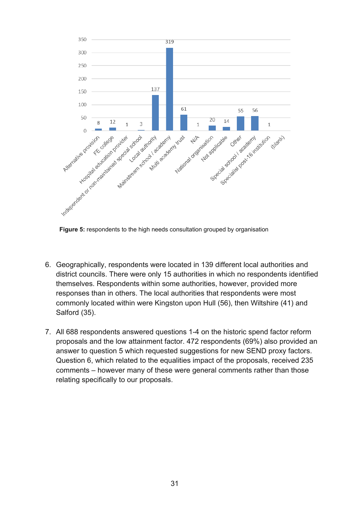

**Figure 5:** respondents to the high needs consultation grouped by organisation

- 6. Geographically, respondents were located in 139 different local authorities and district councils. There were only 15 authorities in which no respondents identified themselves. Respondents within some authorities, however, provided more responses than in others. The local authorities that respondents were most commonly located within were Kingston upon Hull (56), then Wiltshire (41) and Salford (35).
- 7. All 688 respondents answered questions 1-4 on the historic spend factor reform proposals and the low attainment factor. 472 respondents (69%) also provided an answer to question 5 which requested suggestions for new SEND proxy factors. Question 6, which related to the equalities impact of the proposals, received 235 comments – however many of these were general comments rather than those relating specifically to our proposals.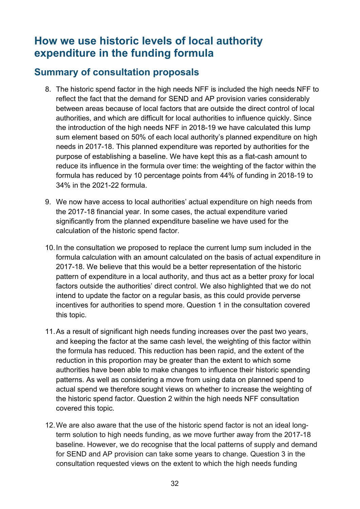# **How we use historic levels of local authority expenditure in the funding formula**

## **Summary of consultation proposals**

- 8. The historic spend factor in the high needs NFF is included the high needs NFF to reflect the fact that the demand for SEND and AP provision varies considerably between areas because of local factors that are outside the direct control of local authorities, and which are difficult for local authorities to influence quickly. Since the introduction of the high needs NFF in 2018-19 we have calculated this lump sum element based on 50% of each local authority's planned expenditure on high needs in 2017-18. This planned expenditure was reported by authorities for the purpose of establishing a baseline. We have kept this as a flat-cash amount to reduce its influence in the formula over time: the weighting of the factor within the formula has reduced by 10 percentage points from 44% of funding in 2018-19 to 34% in the 2021-22 formula.
- 9. We now have access to local authorities' actual expenditure on high needs from the 2017-18 financial year. In some cases, the actual expenditure varied significantly from the planned expenditure baseline we have used for the calculation of the historic spend factor.
- 10.In the consultation we proposed to replace the current lump sum included in the formula calculation with an amount calculated on the basis of actual expenditure in 2017-18. We believe that this would be a better representation of the historic pattern of expenditure in a local authority, and thus act as a better proxy for local factors outside the authorities' direct control. We also highlighted that we do not intend to update the factor on a regular basis, as this could provide perverse incentives for authorities to spend more. Question 1 in the consultation covered this topic.
- 11.As a result of significant high needs funding increases over the past two years, and keeping the factor at the same cash level, the weighting of this factor within the formula has reduced. This reduction has been rapid, and the extent of the reduction in this proportion may be greater than the extent to which some authorities have been able to make changes to influence their historic spending patterns. As well as considering a move from using data on planned spend to actual spend we therefore sought views on whether to increase the weighting of the historic spend factor. Question 2 within the high needs NFF consultation covered this topic.
- 12.We are also aware that the use of the historic spend factor is not an ideal longterm solution to high needs funding, as we move further away from the 2017-18 baseline. However, we do recognise that the local patterns of supply and demand for SEND and AP provision can take some years to change. Question 3 in the consultation requested views on the extent to which the high needs funding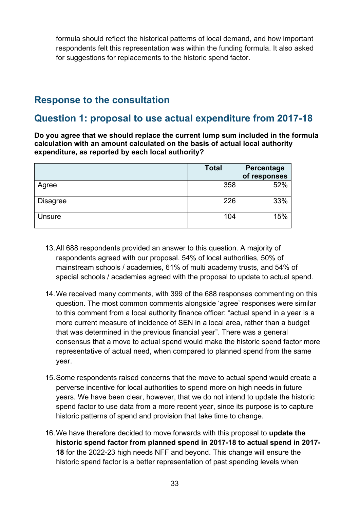formula should reflect the historical patterns of local demand, and how important respondents felt this representation was within the funding formula. It also asked for suggestions for replacements to the historic spend factor.

## **Response to the consultation**

## **Question 1: proposal to use actual expenditure from 2017-18**

**Do you agree that we should replace the current lump sum included in the formula calculation with an amount calculated on the basis of actual local authority expenditure, as reported by each local authority?**

|                 | <b>Total</b> | Percentage<br>of responses |
|-----------------|--------------|----------------------------|
| Agree           | 358          | 52%                        |
| <b>Disagree</b> | 226          | 33%                        |
| Unsure          | 104          | 15%                        |

- 13.All 688 respondents provided an answer to this question. A majority of respondents agreed with our proposal. 54% of local authorities, 50% of mainstream schools / academies, 61% of multi academy trusts, and 54% of special schools / academies agreed with the proposal to update to actual spend.
- 14.We received many comments, with 399 of the 688 responses commenting on this question. The most common comments alongside 'agree' responses were similar to this comment from a local authority finance officer: "actual spend in a year is a more current measure of incidence of SEN in a local area, rather than a budget that was determined in the previous financial year". There was a general consensus that a move to actual spend would make the historic spend factor more representative of actual need, when compared to planned spend from the same year.
- 15.Some respondents raised concerns that the move to actual spend would create a perverse incentive for local authorities to spend more on high needs in future years. We have been clear, however, that we do not intend to update the historic spend factor to use data from a more recent year, since its purpose is to capture historic patterns of spend and provision that take time to change.
- 16.We have therefore decided to move forwards with this proposal to **update the historic spend factor from planned spend in 2017-18 to actual spend in 2017- 18** for the 2022-23 high needs NFF and beyond. This change will ensure the historic spend factor is a better representation of past spending levels when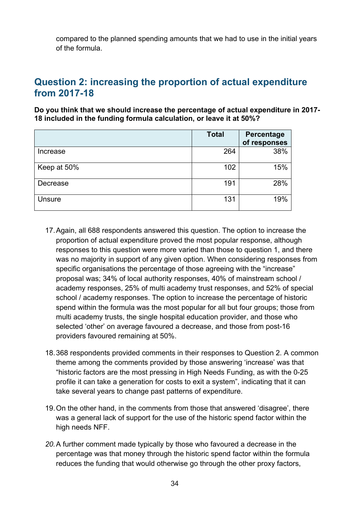compared to the planned spending amounts that we had to use in the initial years of the formula.

## **Question 2: increasing the proportion of actual expenditure from 2017-18**

**Do you think that we should increase the percentage of actual expenditure in 2017- 18 included in the funding formula calculation, or leave it at 50%?**

|             | <b>Total</b> | Percentage<br>of responses |
|-------------|--------------|----------------------------|
| Increase    | 264          | 38%                        |
| Keep at 50% | 102          | 15%                        |
| Decrease    | 191          | 28%                        |
| Unsure      | 131          | 19%                        |

- 17.Again, all 688 respondents answered this question. The option to increase the proportion of actual expenditure proved the most popular response, although responses to this question were more varied than those to question 1, and there was no majority in support of any given option. When considering responses from specific organisations the percentage of those agreeing with the "increase" proposal was; 34% of local authority responses, 40% of mainstream school / academy responses, 25% of multi academy trust responses, and 52% of special school / academy responses. The option to increase the percentage of historic spend within the formula was the most popular for all but four groups; those from multi academy trusts, the single hospital education provider, and those who selected 'other' on average favoured a decrease, and those from post-16 providers favoured remaining at 50%.
- 18.368 respondents provided comments in their responses to Question 2. A common theme among the comments provided by those answering 'increase' was that "historic factors are the most pressing in High Needs Funding, as with the 0-25 profile it can take a generation for costs to exit a system", indicating that it can take several years to change past patterns of expenditure.
- 19.On the other hand, in the comments from those that answered 'disagree', there was a general lack of support for the use of the historic spend factor within the high needs NFF.
- *20.*A further comment made typically by those who favoured a decrease in the percentage was that money through the historic spend factor within the formula reduces the funding that would otherwise go through the other proxy factors,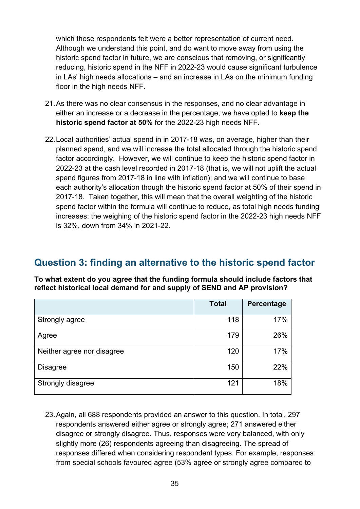which these respondents felt were a better representation of current need. Although we understand this point, and do want to move away from using the historic spend factor in future, we are conscious that removing, or significantly reducing, historic spend in the NFF in 2022-23 would cause significant turbulence in LAs' high needs allocations – and an increase in LAs on the minimum funding floor in the high needs NFF.

- 21.As there was no clear consensus in the responses, and no clear advantage in either an increase or a decrease in the percentage, we have opted to **keep the historic spend factor at 50%** for the 2022-23 high needs NFF.
- 22.Local authorities' actual spend in in 2017-18 was, on average, higher than their planned spend, and we will increase the total allocated through the historic spend factor accordingly. However, we will continue to keep the historic spend factor in 2022-23 at the cash level recorded in 2017-18 (that is, we will not uplift the actual spend figures from 2017-18 in line with inflation); and we will continue to base each authority's allocation though the historic spend factor at 50% of their spend in 2017-18. Taken together, this will mean that the overall weighting of the historic spend factor within the formula will continue to reduce, as total high needs funding increases: the weighing of the historic spend factor in the 2022-23 high needs NFF is 32%, down from 34% in 2021-22.

## **Question 3: finding an alternative to the historic spend factor**

**To what extent do you agree that the funding formula should include factors that reflect historical local demand for and supply of SEND and AP provision?**

|                            | <b>Total</b> | Percentage |
|----------------------------|--------------|------------|
| Strongly agree             | 118          | 17%        |
| Agree                      | 179          | 26%        |
| Neither agree nor disagree | 120          | 17%        |
| <b>Disagree</b>            | 150          | 22%        |
| Strongly disagree          | 121          | 18%        |

23.Again, all 688 respondents provided an answer to this question. In total, 297 respondents answered either agree or strongly agree; 271 answered either disagree or strongly disagree. Thus, responses were very balanced, with only slightly more (26) respondents agreeing than disagreeing. The spread of responses differed when considering respondent types. For example, responses from special schools favoured agree (53% agree or strongly agree compared to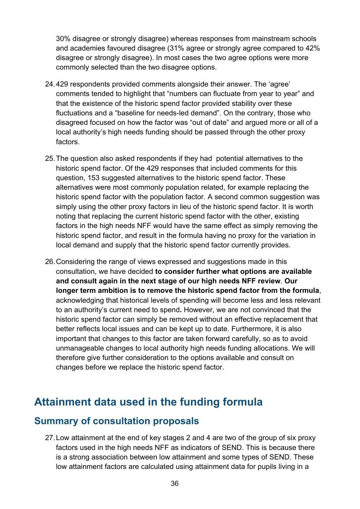30% disagree or strongly disagree) whereas responses from mainstream schools and academies favoured disagree (31% agree or strongly agree compared to 42% disagree or strongly disagree). In most cases the two agree options were more commonly selected than the two disagree options.

- 24.429 respondents provided comments alongside their answer. The 'agree' comments tended to highlight that "numbers can fluctuate from year to year" and that the existence of the historic spend factor provided stability over these fluctuations and a "baseline for needs-led demand". On the contrary, those who disagreed focused on how the factor was "out of date" and argued more or all of a local authority's high needs funding should be passed through the other proxy factors.
- 25.The question also asked respondents if they had potential alternatives to the historic spend factor. Of the 429 responses that included comments for this question, 153 suggested alternatives to the historic spend factor. These alternatives were most commonly population related, for example replacing the historic spend factor with the population factor. A second common suggestion was simply using the other proxy factors in lieu of the historic spend factor. It is worth noting that replacing the current historic spend factor with the other, existing factors in the high needs NFF would have the same effect as simply removing the historic spend factor, and result in the formula having no proxy for the variation in local demand and supply that the historic spend factor currently provides.
- 26.Considering the range of views expressed and suggestions made in this consultation, we have decided **to consider further what options are available and consult again in the next stage of our high needs NFF review**. **Our longer term ambition is to remove the historic spend factor from the formula**, acknowledging that historical levels of spending will become less and less relevant to an authority's current need to spend**.** However, we are not convinced that the historic spend factor can simply be removed without an effective replacement that better reflects local issues and can be kept up to date. Furthermore, it is also important that changes to this factor are taken forward carefully, so as to avoid unmanageable changes to local authority high needs funding allocations. We will therefore give further consideration to the options available and consult on changes before we replace the historic spend factor.

# **Attainment data used in the funding formula**

### **Summary of consultation proposals**

27.Low attainment at the end of key stages 2 and 4 are two of the group of six proxy factors used in the high needs NFF as indicators of SEND. This is because there is a strong association between low attainment and some types of SEND. These low attainment factors are calculated using attainment data for pupils living in a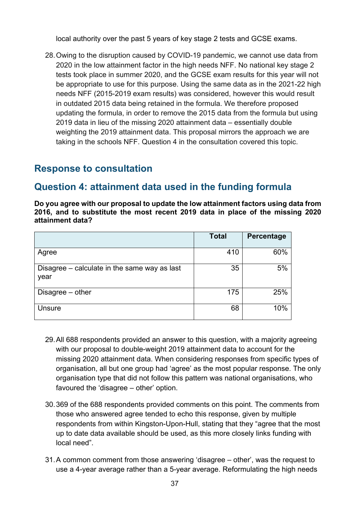local authority over the past 5 years of key stage 2 tests and GCSE exams.

28.Owing to the disruption caused by COVID-19 pandemic, we cannot use data from 2020 in the low attainment factor in the high needs NFF. No national key stage 2 tests took place in summer 2020, and the GCSE exam results for this year will not be appropriate to use for this purpose. Using the same data as in the 2021-22 high needs NFF (2015-2019 exam results) was considered, however this would result in outdated 2015 data being retained in the formula. We therefore proposed updating the formula, in order to remove the 2015 data from the formula but using 2019 data in lieu of the missing 2020 attainment data – essentially double weighting the 2019 attainment data. This proposal mirrors the approach we are taking in the schools NFF. Question 4 in the consultation covered this topic.

## **Response to consultation**

## **Question 4: attainment data used in the funding formula**

**Do you agree with our proposal to update the low attainment factors using data from 2016, and to substitute the most recent 2019 data in place of the missing 2020 attainment data?**

|                                                      | <b>Total</b> | Percentage |
|------------------------------------------------------|--------------|------------|
| Agree                                                | 410          | 60%        |
| Disagree – calculate in the same way as last<br>year | 35           | 5%         |
| Disagree - other                                     | 175          | 25%        |
| Unsure                                               | 68           | 10%        |

- 29.All 688 respondents provided an answer to this question, with a majority agreeing with our proposal to double-weight 2019 attainment data to account for the missing 2020 attainment data. When considering responses from specific types of organisation, all but one group had 'agree' as the most popular response. The only organisation type that did not follow this pattern was national organisations, who favoured the 'disagree – other' option.
- 30.369 of the 688 respondents provided comments on this point. The comments from those who answered agree tended to echo this response, given by multiple respondents from within Kingston-Upon-Hull, stating that they "agree that the most up to date data available should be used, as this more closely links funding with local need".
- 31.A common comment from those answering 'disagree other', was the request to use a 4-year average rather than a 5-year average. Reformulating the high needs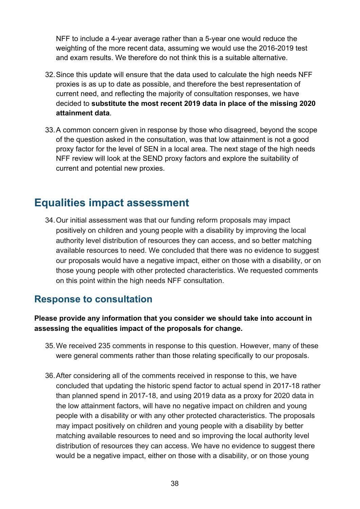NFF to include a 4-year average rather than a 5-year one would reduce the weighting of the more recent data, assuming we would use the 2016-2019 test and exam results. We therefore do not think this is a suitable alternative.

- 32.Since this update will ensure that the data used to calculate the high needs NFF proxies is as up to date as possible, and therefore the best representation of current need, and reflecting the majority of consultation responses, we have decided to **substitute the most recent 2019 data in place of the missing 2020 attainment data**.
- 33.A common concern given in response by those who disagreed, beyond the scope of the question asked in the consultation, was that low attainment is not a good proxy factor for the level of SEN in a local area. The next stage of the high needs NFF review will look at the SEND proxy factors and explore the suitability of current and potential new proxies.

# **Equalities impact assessment**

34.Our initial assessment was that our funding reform proposals may impact positively on children and young people with a disability by improving the local authority level distribution of resources they can access, and so better matching available resources to need. We concluded that there was no evidence to suggest our proposals would have a negative impact, either on those with a disability, or on those young people with other protected characteristics. We requested comments on this point within the high needs NFF consultation.

## **Response to consultation**

#### **Please provide any information that you consider we should take into account in assessing the equalities impact of the proposals for change.**

- 35.We received 235 comments in response to this question. However, many of these were general comments rather than those relating specifically to our proposals.
- 36.After considering all of the comments received in response to this, we have concluded that updating the historic spend factor to actual spend in 2017-18 rather than planned spend in 2017-18, and using 2019 data as a proxy for 2020 data in the low attainment factors, will have no negative impact on children and young people with a disability or with any other protected characteristics. The proposals may impact positively on children and young people with a disability by better matching available resources to need and so improving the local authority level distribution of resources they can access. We have no evidence to suggest there would be a negative impact, either on those with a disability, or on those young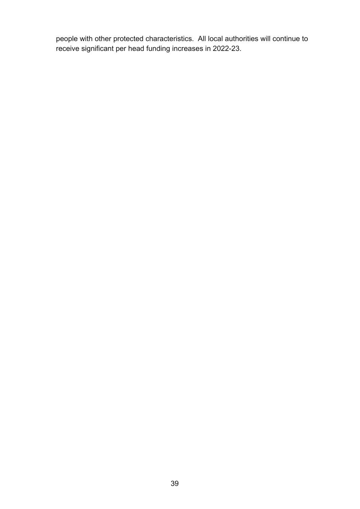people with other protected characteristics. All local authorities will continue to receive significant per head funding increases in 2022-23.